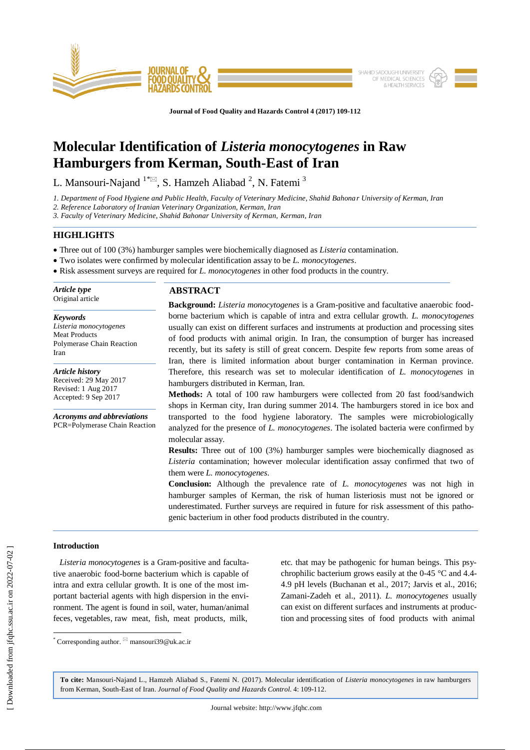

**Journal of Food Quality and Hazards Control 4 (2017) 109-112**

# **Molecular Identification of** *Listeria monocytogenes* **in Raw Hamburgers from Kerman, South-East of Iran**

L. Mansouri-Najand  $1^*$   $\boxtimes$ , S. Hamzeh Aliabad  $^2$ , N. Fatemi  $^3$ 

*1. Department of Food Hygiene and Public Health, Faculty of Veterinary Medicine, Shahid Bahonar University of Kerman, Iran*

*2. Reference Laboratory of Iranian Veterinary Organization, Kerman, Iran*

*3. Faculty of Veterinary Medicine, Shahid Bahonar University of Kerman, Kerman, Iran*

## **HIGHLIGHTS**

Three out of 100 (3%) hamburger samples were biochemically diagnosed as *Listeria* contamination.

- Two isolates were confirmed by molecular identification assay to be *L. monocytogenes*.
- Risk assessment surveys are required for *L. monocytogenes* in other food products in the country.

-*Article type* Original article

*Keywords Listeria monocytogenes* Meat Products Polymerase Chain Reaction Iran

*Article history* Received: 29 May 2017 Revised: 1 Aug 2017 Accepted: 9 Sep 2017

*Acronyms and abbreviations* PCR=Polymerase Chain Reaction

## **ABSTRACT**

**Background:** *Listeria monocytogenes* is a Gram-positive and facultative anaerobic foodborne bacterium which is capable of intra and extra cellular growth. *L. monocytogenes* usually can exist on different surfaces and instruments at production and processing sites of food products with animal origin. In Iran, the consumption of burger has increased recently, but its safety is still of great concern. Despite few reports from some areas of Iran, there is limited information about burger contamination in Kerman province. Therefore, this research was set to molecular identification of *L. monocytogenes* in hamburgers distributed in Kerman, Iran.

**Methods:** A total of 100 raw hamburgers were collected from 20 fast food/sandwich shops in Kerman city, Iran during summer 2014. The hamburgers stored in ice box and transported to the food hygiene laboratory. The samples were microbiologically analyzed for the presence of *L. monocytogenes*. The isolated bacteria were confirmed by molecular assay.

**Results:** Three out of 100 (3%) hamburger samples were biochemically diagnosed as *Listeria* contamination; however molecular identification assay confirmed that two of them were *L. monocytogenes*.

**Conclusion:** Although the prevalence rate of *L. monocytogenes* was not high in hamburger samples of Kerman, the risk of human listeriosis must not be ignored or underestimated. Further surveys are required in future for risk assessment of this pathogenic bacterium in other food products distributed in the country.

## **Introduction**

 $\overline{\phantom{a}}$ 

 *Listeria monocytogenes* is a Gram-positive and facultative anaerobic food-borne bacterium which is capable of intra and extra cellular growth. It is one of the most important bacterial agents with high dispersion in the environment. The agent is found in soil, water, human/animal feces, vegetables, raw meat, fish, meat products, milk,

etc. that may be pathogenic for human beings. This psychrophilic bacterium grows easily at the 0-45 °C and 4.4- 4.9 pH levels (Buchanan et al., 2017; Jarvis et al., 2016; Zamani-Zadeh et al., 2011). *L. monocytogenes* usually can exist on different surfaces and instruments at production and processing sites of food products with animal

**To cite:** Mansouri-Najand L., Hamzeh Aliabad S., Fatemi N. (2017). Molecular identification of *Listeria monocytogenes* in raw hamburgers from Kerman, South-East of Iran. *Journal of Food Quality and Hazards Control*. 4: 109-112.

<sup>\*</sup> Corresponding author.  $\Im$  mansouri39@uk.ac.ir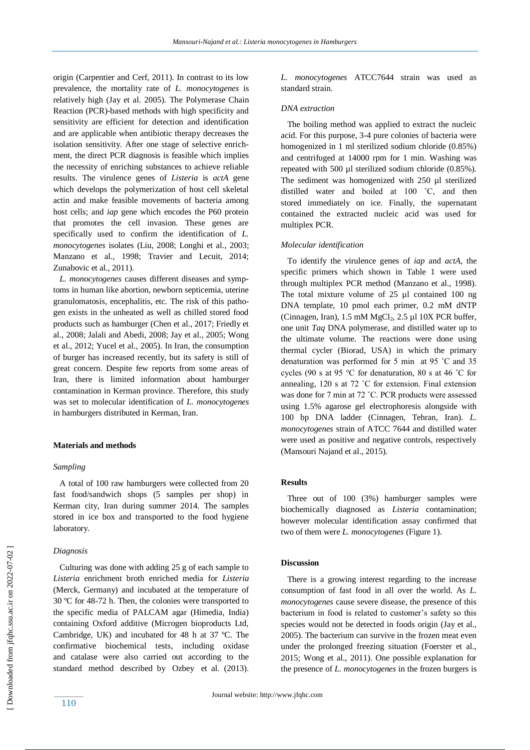origin (Carpentier and Cerf, 2011). In contrast to its low prevalence, the mortality rate of *L. monocytogenes* is relatively high (Jay et al. 2005). The Polymerase Chain Reaction (PCR)-based methods with high specificity and sensitivity are efficient for detection and identification and are applicable when antibiotic therapy decreases the isolation sensitivity. After one stage of selective enrichment, the direct PCR diagnosis is feasible which implies the necessity of enriching substances to achieve reliable results. The virulence genes of *Listeria* is *actA* gene which develops the polymerization of host cell skeletal actin and make feasible movements of bacteria among host cells; and *iap* gene which encodes the P60 protein that promotes the cell invasion. These genes are specifically used to confirm the identification of *L. monocytogenes* isolates (Liu, 2008; Longhi et al., 2003; Manzano et al., 1998; Travier and Lecuit, 2014; Zunabovic et al., 2011).

 *L. monocytogenes* causes different diseases and symptoms in human like abortion, newborn septicemia, uterine granulomatosis, encephalitis, etc. The risk of this pathogen exists in the unheated as well as chilled stored food products such as hamburger (Chen et al., 2017; Friedly et al., 2008; Jalali and Abedi, 2008; Jay et al., 2005; Wong et al., 2012; Yucel et al., 2005). In Iran, the consumption of burger has increased recently, but its safety is still of great concern. Despite few reports from some areas of Iran, there is limited information about hamburger contamination in Kerman province. Therefore, this study was set to molecular identification of *L. monocytogenes* in hamburgers distributed in Kerman, Iran.

## **Materials and methods**

#### *Sampling*

 A total of 100 raw hamburgers were collected from 20 fast food/sandwich shops (5 samples per shop) in Kerman city, Iran during summer 2014. The samples stored in ice box and transported to the food hygiene laboratory.

#### *Diagnosis*

 Culturing was done with adding 25 g of each sample to *Listeria* enrichment broth enriched media for *Listeria* (Merck, Germany) and incubated at the temperature of 30 ºC for 48-72 h. Then, the colonies were transported to the specific media of PALCAM agar (Himedia, India) containing Oxford additive (Microgen bioproducts Ltd, Cambridge, UK) and incubated for 48 h at 37 ºC. The confirmative biochemical tests, including oxidase and catalase were also carried out according to the standard method described by Ozbey et al. (2013). *L. monocytogenes* ATCC7644 strain was used as standard strain.

#### *DNA extraction*

 The boiling method was applied to extract the nucleic acid. For this purpose, 3-4 pure colonies of bacteria were homogenized in 1 ml sterilized sodium chloride (0.85%) and centrifuged at 14000 rpm for 1 min. Washing was repeated with 500 µl sterilized sodium chloride (0.85%). The sediment was homogenized with 250 µl sterilized distilled water and boiled at 100 ˚C, and then stored immediately on ice. Finally, the supernatant contained the extracted nucleic acid was used for multiplex PCR.

#### *Molecular identification*

 To identify the virulence genes of *iap* and *actA*, the specific primers which shown in Table 1 were used through multiplex PCR method (Manzano et al., 1998). The total mixture volume of 25 µl contained 100 ng DNA template, 10 pmol each primer, 0.2 mM dNTP (Cinnagen, Iran),  $1.5 \text{ mM MgCl}_2$ ,  $2.5 \text{ µl } 10X$  PCR buffer, one unit *Taq* DNA polymerase, and distilled water up to the ultimate volume. The reactions were done using thermal cycler (Biorad, USA) in which the primary denaturation was performed for 5 min at 95 ˚C and 35 cycles (90 s at 95 °C for denaturation, 80 s at 46 ˚C for annealing, 120 s at 72 ˚C for extension. Final extension was done for 7 min at 72 ˚C. PCR products were assessed using 1.5% agarose gel electrophoresis alongside with 100 bp DNA ladder (Cinnagen, Tehran, Iran). *L. monocytogenes* strain of ATCC 7644 and distilled water were used as positive and negative controls, respectively (Mansouri Najand et al., 2015).

#### **Results**

 Three out of 100 (3%) hamburger samples were biochemically diagnosed as *Listeria* contamination; however molecular identification assay confirmed that two of them were *L. monocytogenes* (Figure 1).

## **Discussion**

 There is a growing interest regarding to the increase consumption of fast food in all over the world. As *L. monocytogenes* cause severe disease, the presence of this bacterium in food is related to customer's safety so this species would not be detected in foods origin (Jay et al., 2005). The bacterium can survive in the frozen meat even under the prolonged freezing situation (Foerster et al., 2015; Wong et al., 2011). One possible explanation for the presence of *L. monocytogenes* in the frozen burgers is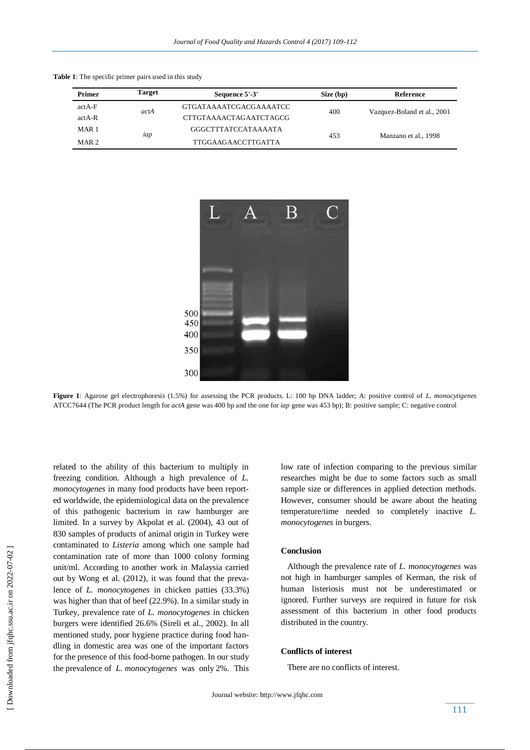| <b>Primer</b>    | <b>Target</b> | Sequence 5'-3'             | Size (bp) | Reference                   |
|------------------|---------------|----------------------------|-----------|-----------------------------|
| $actA-F$         | actA          | GTGATAAAATCGACGAAAATCC     | 400       | Vazquez-Boland et al., 2001 |
| $actA-R$         |               | CTTGTAAAACTAGAATCTAGCG     |           |                             |
| MAR <sub>1</sub> | iap           | <b>GGGCTTTATCCATAAAATA</b> | 453       | Manzano et al., 1998        |
| MAR <sub>2</sub> |               | <b>TTGGAAGAACCTTGATTA</b>  |           |                             |

**Table 1**: The specific primer pairs used in this study



**Figure 1**: Agarose gel electrophoresis (1.5%) for assessing the PCR products. L: 100 bp DNA ladder; A: positive control of *L. monocytigenes* ATCC7644 (The PCR product length for *actA* gene was 400 bp and the one for *iap* gene was 453 bp); B: positive sample; C: negative control

related to the ability of this bacterium to multiply in freezing condition. Although a high prevalence of *L. monocytogenes* in many food products have been reported worldwide, the epidemiological data on the prevalence of this pathogenic bacterium in raw hamburger are limited. In a survey by Akpolat et al. (2004), 43 out of 830 samples of products of animal origin in Turkey were contaminated to *Listeria* among which one sample had contamination rate of more than 1000 colony forming unit/ml. According to another work in Malaysia carried out by Wong et al. (2012), it was found that the prevalence of *L. monocytogenes* in chicken patties (33.3%) was higher than that of beef (22.9%). In a similar study in Turkey, prevalence rate of *L. monocytogenes* in chicken burgers were identified 26.6% (Sireli et al., 2002). In all mentioned study, poor hygiene practice during food handling in domestic area was one of the important factors for the presence of this food-borne pathogen. In our study the prevalence of *L. monocytogenes* was only 2%. This low rate of infection comparing to the previous similar researches might be due to some factors such as small sample size or differences in applied detection methods. However, consumer should be aware about the heating temperature/time needed to completely inactive *L. monocytogenes* in burgers.

## **Conclusion**

 Although the prevalence rate of *L. monocytogenes* was not high in hamburger samples of Kerman, the risk of human listeriosis must not be underestimated or ignored. Further surveys are required in future for risk assessment of this bacterium in other food products distributed in the country.

#### **Conflicts of interest**

There are no conflicts of interest.